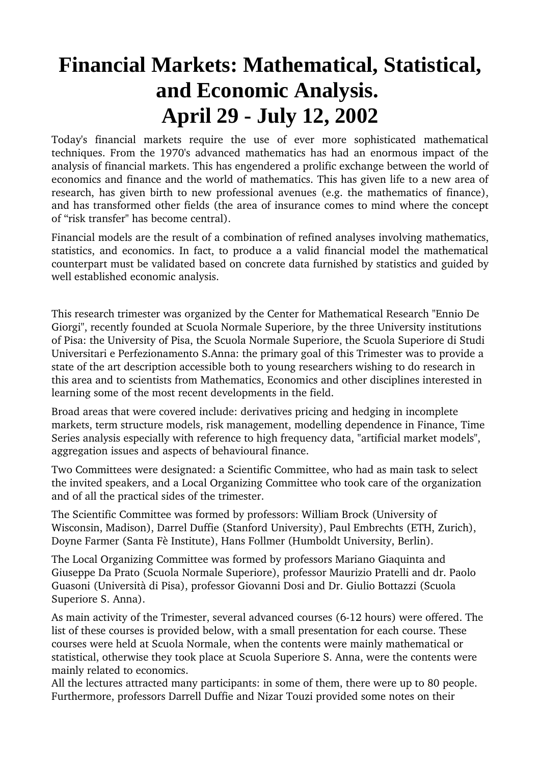# **Financial Markets: Mathematical, Statistical, and Economic Analysis. April 29 - July 12, 2002**

Today's financial markets require the use of ever more sophisticated mathematical techniques. From the 1970's advanced mathematics has had an enormous impact of the analysis of financial markets. This has engendered a prolific exchange between the world of economics and finance and the world of mathematics. This has given life to a new area of research, has given birth to new professional avenues (e.g. the mathematics of finance), and has transformed other fields (the area of insurance comes to mind where the concept of "risk transfer" has become central).

Financial models are the result of a combination of refined analyses involving mathematics, statistics, and economics. In fact, to produce a a valid financial model the mathematical counterpart must be validated based on concrete data furnished by statistics and guided by well established economic analysis.

This research trimester was organized by the Center for Mathematical Research "Ennio De Giorgi", recently founded at Scuola Normale Superiore, by the three University institutions of Pisa: the University of Pisa, the Scuola Normale Superiore, the Scuola Superiore di Studi Universitari e Perfezionamento S.Anna: the primary goal of this Trimester was to provide a state of the art description accessible both to young researchers wishing to do research in this area and to scientists from Mathematics, Economics and other disciplines interested in learning some of the most recent developments in the field.

Broad areas that were covered include: derivatives pricing and hedging in incomplete markets, term structure models, risk management, modelling dependence in Finance, Time Series analysis especially with reference to high frequency data, "artificial market models", aggregation issues and aspects of behavioural finance.

Two Committees were designated: a Scientific Committee, who had as main task to select the invited speakers, and a Local Organizing Committee who took care of the organization and of all the practical sides of the trimester.

The Scientific Committee was formed by professors: William Brock (University of Wisconsin, Madison), Darrel Duffie (Stanford University), Paul Embrechts (ETH, Zurich), Doyne Farmer (Santa Fè Institute), Hans Follmer (Humboldt University, Berlin).

The Local Organizing Committee was formed by professors Mariano Giaquinta and Giuseppe Da Prato (Scuola Normale Superiore), professor Maurizio Pratelli and dr. Paolo Guasoni (Università di Pisa), professor Giovanni Dosi and Dr. Giulio Bottazzi (Scuola Superiore S. Anna).

As main activity of the Trimester, several advanced courses (612 hours) were offered. The list of these courses is provided below, with a small presentation for each course. These courses were held at Scuola Normale, when the contents were mainly mathematical or statistical, otherwise they took place at Scuola Superiore S. Anna, were the contents were mainly related to economics.

All the lectures attracted many participants: in some of them, there were up to 80 people. Furthermore, professors Darrell Duffie and Nizar Touzi provided some notes on their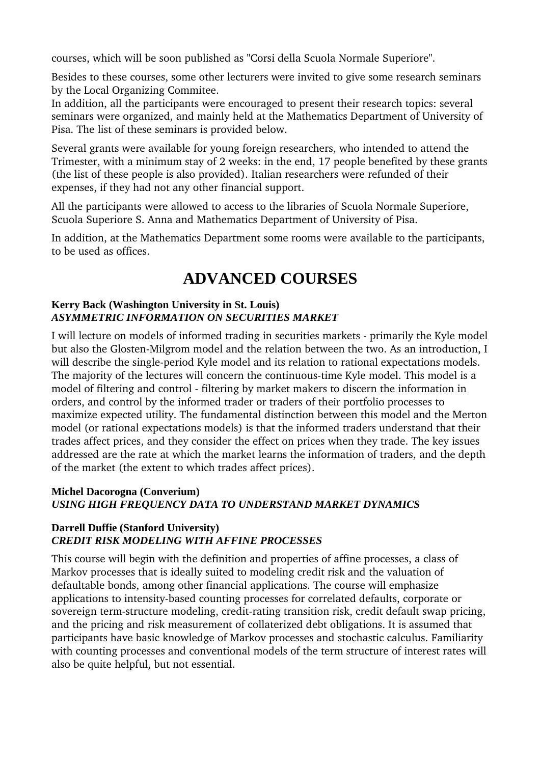courses, which will be soon published as "Corsi della Scuola Normale Superiore".

Besides to these courses, some other lecturers were invited to give some research seminars by the Local Organizing Commitee.

In addition, all the participants were encouraged to present their research topics: several seminars were organized, and mainly held at the Mathematics Department of University of Pisa. The list of these seminars is provided below.

Several grants were available for young foreign researchers, who intended to attend the Trimester, with a minimum stay of 2 weeks: in the end, 17 people benefited by these grants (the list of these people is also provided). Italian researchers were refunded of their expenses, if they had not any other financial support.

All the participants were allowed to access to the libraries of Scuola Normale Superiore, Scuola Superiore S. Anna and Mathematics Department of University of Pisa.

In addition, at the Mathematics Department some rooms were available to the participants, to be used as offices.

# **ADVANCED COURSES**

#### **Kerry Back (Washington University in St. Louis)** *ASYMMETRIC INFORMATION ON SECURITIES MARKET*

I will lecture on models of informed trading in securities markets - primarily the Kyle model but also the Glosten-Milgrom model and the relation between the two. As an introduction, I will describe the single-period Kyle model and its relation to rational expectations models. The majority of the lectures will concern the continuous-time Kyle model. This model is a model of filtering and control - filtering by market makers to discern the information in orders, and control by the informed trader or traders of their portfolio processes to maximize expected utility. The fundamental distinction between this model and the Merton model (or rational expectations models) is that the informed traders understand that their trades affect prices, and they consider the effect on prices when they trade. The key issues addressed are the rate at which the market learns the information of traders, and the depth of the market (the extent to which trades affect prices).

#### **Michel Dacorogna (Converium)** *USING HIGH FREQUENCY DATA TO UNDERSTAND MARKET DYNAMICS*

#### **Darrell Duffie (Stanford University)** *CREDIT RISK MODELING WITH AFFINE PROCESSES*

This course will begin with the definition and properties of affine processes, a class of Markov processes that is ideally suited to modeling credit risk and the valuation of defaultable bonds, among other financial applications. The course will emphasize applications to intensity-based counting processes for correlated defaults, corporate or sovereign term-structure modeling, credit-rating transition risk, credit default swap pricing, and the pricing and risk measurement of collaterized debt obligations. It is assumed that participants have basic knowledge of Markov processes and stochastic calculus. Familiarity with counting processes and conventional models of the term structure of interest rates will also be quite helpful, but not essential.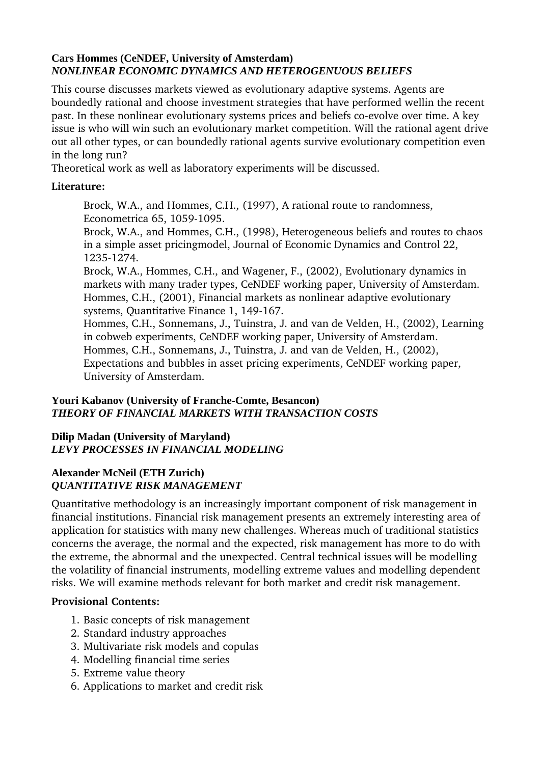#### **Cars Hommes (CeNDEF, University of Amsterdam)** *NONLINEAR ECONOMIC DYNAMICS AND HETEROGENUOUS BELIEFS*

This course discusses markets viewed as evolutionary adaptive systems. Agents are boundedly rational and choose investment strategies that have performed wellin the recent past. In these nonlinear evolutionary systems prices and beliefs co-evolve over time. A key issue is who will win such an evolutionary market competition. Will the rational agent drive out all other types, or can boundedly rational agents survive evolutionary competition even in the long run?

Theoretical work as well as laboratory experiments will be discussed.

#### **Literature:**

Brock, W.A., and Hommes, C.H., (1997), A rational route to randomness, Econometrica 65, 1059-1095.

Brock, W.A., and Hommes, C.H., (1998), Heterogeneous beliefs and routes to chaos in a simple asset pricingmodel, Journal of Economic Dynamics and Control 22, 12351274.

Brock, W.A., Hommes, C.H., and Wagener, F., (2002), Evolutionary dynamics in markets with many trader types, CeNDEF working paper, University of Amsterdam. Hommes, C.H., (2001), Financial markets as nonlinear adaptive evolutionary systems, Quantitative Finance 1, 149-167.

Hommes, C.H., Sonnemans, J., Tuinstra, J. and van de Velden, H., (2002), Learning in cobweb experiments, CeNDEF working paper, University of Amsterdam. Hommes, C.H., Sonnemans, J., Tuinstra, J. and van de Velden, H., (2002), Expectations and bubbles in asset pricing experiments, CeNDEF working paper, University of Amsterdam.

#### **Youri Kabanov (University of Franche-Comte, Besancon)** *THEORY OF FINANCIAL MARKETS WITH TRANSACTION COSTS*

#### **Dilip Madan (University of Maryland)** *LEVY PROCESSES IN FINANCIAL MODELING*

#### **Alexander McNeil (ETH Zurich)** *QUANTITATIVE RISK MANAGEMENT*

Quantitative methodology is an increasingly important component of risk management in financial institutions. Financial risk management presents an extremely interesting area of application for statistics with many new challenges. Whereas much of traditional statistics concerns the average, the normal and the expected, risk management has more to do with the extreme, the abnormal and the unexpected. Central technical issues will be modelling the volatility of financial instruments, modelling extreme values and modelling dependent risks. We will examine methods relevant for both market and credit risk management.

#### **Provisional Contents:**

- 1. Basic concepts of risk management
- 2. Standard industry approaches
- 3. Multivariate risk models and copulas
- 4. Modelling financial time series
- 5. Extreme value theory
- 6. Applications to market and credit risk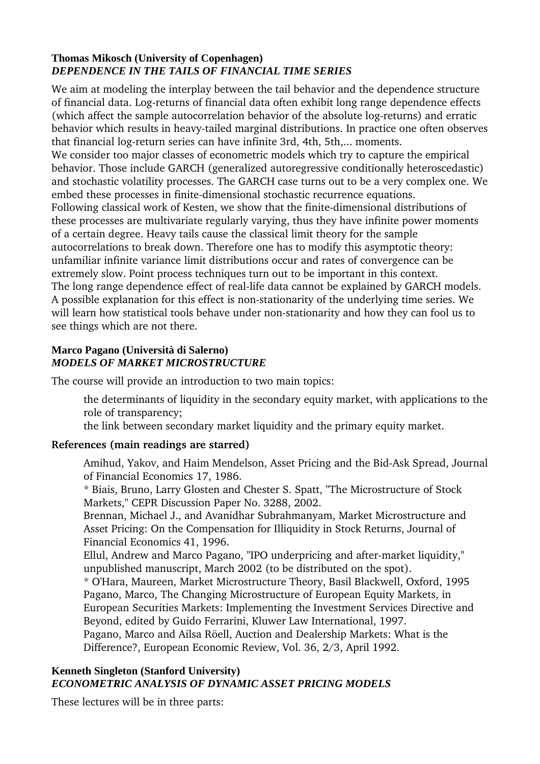#### **Thomas Mikosch (University of Copenhagen)** *DEPENDENCE IN THE TAILS OF FINANCIAL TIME SERIES*

We aim at modeling the interplay between the tail behavior and the dependence structure of financial data. Log-returns of financial data often exhibit long range dependence effects (which affect the sample autocorrelation behavior of the absolute log-returns) and erratic behavior which results in heavy-tailed marginal distributions. In practice one often observes that financial log-return series can have infinite 3rd, 4th, 5th,... moments. We consider too major classes of econometric models which try to capture the empirical behavior. Those include GARCH (generalized autoregressive conditionally heteroscedastic) and stochastic volatility processes. The GARCH case turns out to be a very complex one. We embed these processes in finite-dimensional stochastic recurrence equations. Following classical work of Kesten, we show that the finite-dimensional distributions of these processes are multivariate regularly varying, thus they have infinite power moments of a certain degree. Heavy tails cause the classical limit theory for the sample autocorrelations to break down. Therefore one has to modify this asymptotic theory: unfamiliar infinite variance limit distributions occur and rates of convergence can be extremely slow. Point process techniques turn out to be important in this context. The long range dependence effect of real-life data cannot be explained by GARCH models. A possible explanation for this effect is non-stationarity of the underlying time series. We will learn how statistical tools behave under non-stationarity and how they can fool us to see things which are not there.

#### **Marco Pagano (Università di Salerno)** *MODELS OF MARKET MICROSTRUCTURE*

The course will provide an introduction to two main topics:

the determinants of liquidity in the secondary equity market, with applications to the role of transparency;

the link between secondary market liquidity and the primary equity market.

#### **References (main readings are starred)**

Amihud, Yakov, and Haim Mendelson, Asset Pricing and the Bid-Ask Spread, Journal of Financial Economics 17, 1986.

\* Biais, Bruno, Larry Glosten and Chester S. Spatt, "The Microstructure of Stock Markets," CEPR Discussion Paper No. 3288, 2002.

Brennan, Michael J., and Avanidhar Subrahmanyam, Market Microstructure and Asset Pricing: On the Compensation for Illiquidity in Stock Returns, Journal of Financial Economics 41, 1996.

Ellul, Andrew and Marco Pagano, "IPO underpricing and after-market liquidity," unpublished manuscript, March 2002 (to be distributed on the spot).

\* O'Hara, Maureen, Market Microstructure Theory, Basil Blackwell, Oxford, 1995 Pagano, Marco, The Changing Microstructure of European Equity Markets, in European Securities Markets: Implementing the Investment Services Directive and Beyond, edited by Guido Ferrarini, Kluwer Law International, 1997.

Pagano, Marco and Ailsa Röell, Auction and Dealership Markets: What is the Difference?, European Economic Review, Vol. 36, 2/3, April 1992.

#### **Kenneth Singleton (Stanford University)** *ECONOMETRIC ANALYSIS OF DYNAMIC ASSET PRICING MODELS*

These lectures will be in three parts: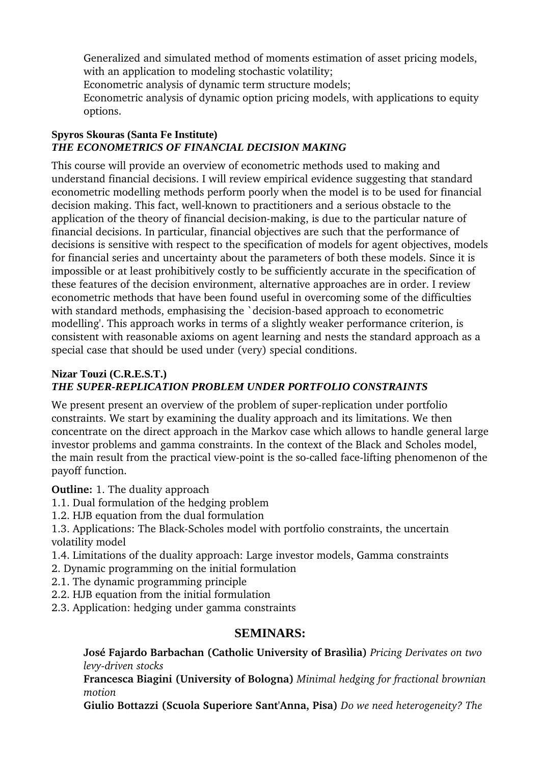Generalized and simulated method of moments estimation of asset pricing models, with an application to modeling stochastic volatility;

Econometric analysis of dynamic term structure models;

Econometric analysis of dynamic option pricing models, with applications to equity options.

#### **Spyros Skouras (Santa Fe Institute)** *THE ECONOMETRICS OF FINANCIAL DECISION MAKING*

This course will provide an overview of econometric methods used to making and understand financial decisions. I will review empirical evidence suggesting that standard econometric modelling methods perform poorly when the model is to be used for financial decision making. This fact, well-known to practitioners and a serious obstacle to the application of the theory of financial decision-making, is due to the particular nature of financial decisions. In particular, financial objectives are such that the performance of decisions is sensitive with respect to the specification of models for agent objectives, models for financial series and uncertainty about the parameters of both these models. Since it is impossible or at least prohibitively costly to be sufficiently accurate in the specification of these features of the decision environment, alternative approaches are in order. I review econometric methods that have been found useful in overcoming some of the difficulties with standard methods, emphasising the 'decision-based approach to econometric modelling'. This approach works in terms of a slightly weaker performance criterion, is consistent with reasonable axioms on agent learning and nests the standard approach as a special case that should be used under (very) special conditions.

# **Nizar Touzi (C.R.E.S.T.)** *THE SUPER-REPLICATION PROBLEM UNDER PORTFOLIO CONSTRAINTS*

We present present an overview of the problem of super-replication under portfolio constraints. We start by examining the duality approach and its limitations. We then concentrate on the direct approach in the Markov case which allows to handle general large investor problems and gamma constraints. In the context of the Black and Scholes model, the main result from the practical view-point is the so-called face-lifting phenomenon of the payoff function.

**Outline:** 1. The duality approach

- 1.1. Dual formulation of the hedging problem
- 1.2. HJB equation from the dual formulation

1.3. Applications: The Black-Scholes model with portfolio constraints, the uncertain volatility model

- 1.4. Limitations of the duality approach: Large investor models, Gamma constraints
- 2. Dynamic programming on the initial formulation
- 2.1. The dynamic programming principle
- 2.2. HJB equation from the initial formulation
- 2.3. Application: hedging under gamma constraints

### **SEMINARS:**

**José Fajardo Barbachan (Catholic University of Brasìlia)** *Pricing Derivates on two levydriven stocks*

**Francesca Biagini (University of Bologna)** *Minimal hedging for fractional brownian motion*

**Giulio Bottazzi (Scuola Superiore Sant'Anna, Pisa)** *Do we need heterogeneity? The*